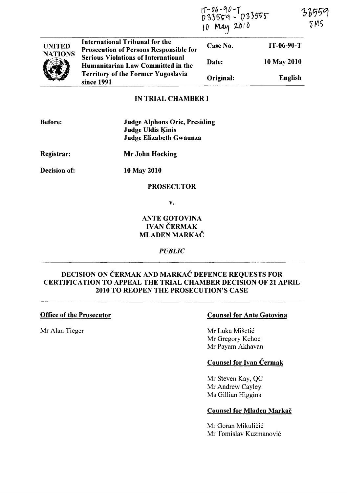|                                 |                                                                                                                                                                                                                               | 1T-06-90-T<br>D33559 - D33555<br>10 May 2010 |                | 33559<br>5MS |
|---------------------------------|-------------------------------------------------------------------------------------------------------------------------------------------------------------------------------------------------------------------------------|----------------------------------------------|----------------|--------------|
| <b>UNITED</b><br><b>NATIONS</b> | International Tribunal for the<br><b>Prosecution of Persons Responsible for</b><br><b>Serious Violations of International</b><br>Humanitarian Law Committed in the<br><b>Territory of the Former Yugoslavia</b><br>since 1991 | Case No.                                     | IT-06-90-T     |              |
|                                 |                                                                                                                                                                                                                               | Date:                                        | 10 May 2010    |              |
|                                 |                                                                                                                                                                                                                               | Original:                                    | <b>English</b> |              |

## IN TRIAL CHAMBER I

| <b>Before:</b> | <b>Judge Alphons Orie, Presiding</b><br><b>Judge Uldis Kinis</b><br>Judge Elizabeth Gwaunza |  |
|----------------|---------------------------------------------------------------------------------------------|--|
| Registrar:     | Mr John Hocking                                                                             |  |
| Decision of:   | 10 May 2010                                                                                 |  |
|                | <b>PROSECUTOR</b>                                                                           |  |

v.

# ANTE GOTOVINA **IVAN ČERMAK** MLADEN MARKAČ

*PUBLIC* 

# DECISION ON ČERMAK AND MARKAČ DEFENCE REQUESTS FOR CERTIFICATION TO APPEAL THE TRIAL CHAMBER DECISION OF 21 APRIL 2010 TO REOPEN THE PROSECUTION'S CASE

## Office of the Prosecutor

Mr Alan Tieger

# Counsel for Ante Gotovina

Mr Luka Misetic Mr Gregory Kehoe Mr Payam Akhavan

# Counsel for Ivan Cermak

Mr Steven Kay, QC Mr Andrew Cayley Ms Gillian Higgins

### Counsel for Mladen Markac

Mr Goran Mikuličić Mr Tomislav Kuzmanovic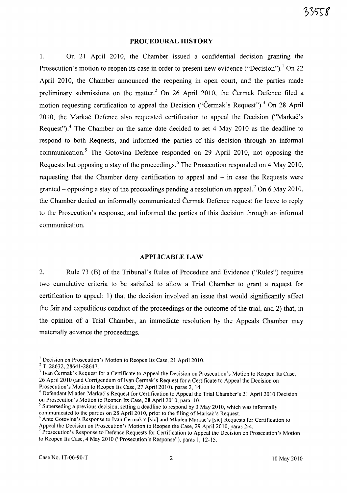### **PROCEDURAL HISTORY**

1. On 21 April 2010, the Chamber issued a confidential decision granting the Prosecution's motion to reopen its case in order to present new evidence ("Decision").<sup>1</sup> On 22 April 2010, the Chamber announced the reopening in open court, and the parties made preliminary submissions on the matter.<sup>2</sup> On 26 April 2010, the Čermak Defence filed a motion requesting certification to appeal the Decision ("Čermak's Request").<sup>3</sup> On 28 April 2010, the Markač Defence also requested certification to appeal the Decision ("Markač's Request").<sup>4</sup> The Chamber on the same date decided to set 4 May 2010 as the deadline to respond to both Requests, and informed the parties of this decision through an informal communication.<sup>5</sup> The Gotovina Defence responded on 29 April 2010, not opposing the Requests but opposing a stay of the proceedings.<sup>6</sup> The Prosecution responded on 4 May 2010, requesting that the Chamber deny certification to appeal and  $-$  in case the Requests were granted – opposing a stay of the proceedings pending a resolution on appeal.<sup>7</sup> On 6 May 2010, the Chamber denied an informally communicated Cermak Defence request for leave to reply to the Prosecution's response, and informed the parties of this decision through an informal communication.

### **APPLICABLE LAW**

2. Rule 73 CB) of the Tribunal's Rules of Procedure and Evidence ("Rules") requires two cumulative criteria to be satisfied to allow a Trial Chamber to grant a request for certification to appeal: 1) that the decision involved an issue that would significantly affect the fair and expeditious conduct of the proceedings or the outcome of the trial, and 2) that, in the opinion of a Trial Chamber, an immediate resolution by the Appeals Chamber may materially advance the proceedings.

 $<sup>1</sup>$  Decision on Prosecution's Motion to Reopen Its Case, 21 April 2010.</sup>

<sup>&</sup>lt;sup>2</sup> T. 28632, 28641-28647.

<sup>&</sup>lt;sup>3</sup> Ivan Čermak's Request for a Certificate to Appeal the Decision on Prosecution's Motion to Reopen Its Case, 26 April 2010 (and Corrigendum of Ivan Čermak's Request for a Certificate to Appeal the Decision on Prosecution's Motion to Reopen Its Case, 27 April 2010), paras 2, 14.

<sup>&</sup>lt;sup>4</sup> Defendant Mladen Markač's Request for Certification to Appeal the Trial Chamber's 21 April 2010 Decision on Prosecution's Motion to Reopen Its Case, 28 April 2010, para. 10.

 $<sup>5</sup>$  Superseding a previous decision, setting a deadline to respond by 3 May 2010, which was informally</sup> communicated to the parties on 28 April 2010, prior to the filing of Markac's Request.

<sup>&</sup>lt;sup>6</sup> Ante Gotovina's Response to Ivan Cermak's [sic] and Mladen Markac's [sic] Requests for Certification to Appeal the Decision on Prosecution's Motion to Reopen the Case, 29 April 2010, paras 2-4.

<sup>&</sup>lt;sup>7</sup> Prosecution's Response to Defence Requests for Certification to Appeal the Decision on Prosecution's Motion to Reopen Its Case, 4 May 2010 ("Prosecution's Response"), paras 1, 12-15.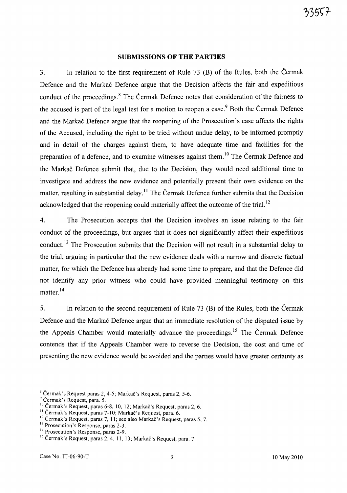### **SUBMISSIONS OF THE PARTIES**

3. In relation to the first requirement of Rule 73 (B) of the Rules, both the Cermak Defence and the Markac Defence argue that the Decision affects the fair and expeditious conduct of the proceedings.<sup>8</sup> The Čermak Defence notes that consideration of the fairness to the accused is part of the legal test for a motion to reopen a case.<sup>9</sup> Both the Cermak Defence and the Markac Defence argue that the reopening of the Prosecution's case affects the rights of the Accused, including the right to be tried without undue delay, to be informed promptly and in detail of the charges against them, to have adequate time and facilities for the preparation of a defence, and to examine witnesses against them.<sup>10</sup> The Čermak Defence and the Markac Defence submit that, due to the Decision, they would need additional time to investigate and address the new evidence and potentially present their own evidence on the matter, resulting in substantial delay.<sup>11</sup> The Čermak Defence further submits that the Decision acknowledged that the reopening could materially affect the outcome of the trial.<sup>12</sup>

4. The Prosecution accepts that the Decision involves an issue relating to the fair conduct of the proceedings, but argues that it does not significantly affect their expeditious conduct.<sup>13</sup> The Prosecution submits that the Decision will not result in a substantial delay to the trial, arguing in particular that the new evidence deals with a narrow and discrete factual matter, for which the Defence has already had some time to prepare, and that the Defence did not identify any prior witness who could have provided meaningful testimony on this matter.<sup>14</sup>

5. In relation to the second requirement of Rule 73 (B) of the Rules, both the Cermak Defence and the Markac Defence argue that an immediate resolution of the disputed issue by the Appeals Chamber would materially advance the proceedings.<sup>15</sup> The Čermak Defence contends that if the Appeals Chamber were to reverse the Decision, the cost and time of presenting the new evidence would be avoided and the parties would have greater certainty as

<sup>&</sup>lt;sup>8</sup> Čermak's Request paras 2, 4-5; Markač's Request, paras 2, 5-6.<br><sup>9</sup> Čermak's Request, para. 5.<br><sup>10</sup> Čermak's Request, paras 6-8, 10, 12; Markač's Request, paras 2, 6.

<sup>&</sup>lt;sup>11</sup> Čermak's Request, paras 7-10; Markač's Request, para. 6.

 $12$  Čermak's Request, paras 7, 11; see also Markač's Request, paras 5, 7.

<sup>&</sup>lt;sup>13</sup> Prosecution's Response, paras 2-3.

<sup>&</sup>lt;sup>14</sup> Prosecution's Response, paras 2-9.

<sup>&</sup>lt;sup>15</sup> Čermak's Request, paras 2, 4, 11, 13; Markač's Request, para. 7.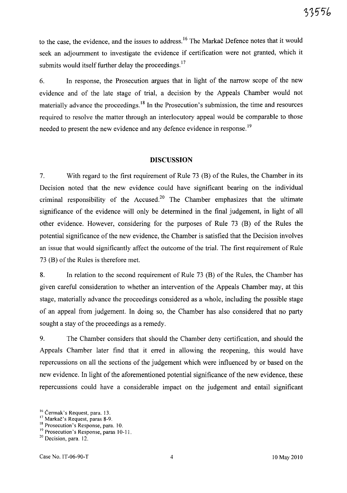to the case, the evidence, and the issues to address.<sup>16</sup> The Markac Defence notes that it would seek an adjournment to investigate the evidence if certification were not granted, which it submits would itself further delay the proceedings.<sup>17</sup>

6. In response, the Prosecution argues that in light of the narrow scope of the new evidence and of the late stage of trial, a decision by the Appeals Chamber would not materially advance the proceedings.<sup>18</sup> In the Prosecution's submission, the time and resources required to resolve the matter through an interlocutory appeal would be comparable to those needed to present the new evidence and any defence evidence in response.<sup>19</sup>

#### **DISCUSSION**

7. With regard to the first requirement of Rule 73 (B) of the Rules, the Chamber in its Decision noted that the new evidence could have significant bearing on the individual criminal responsibility of the Accused.<sup>20</sup> The Chamber emphasizes that the ultimate significance of the evidence will only be determined in the final judgement, in light of all other evidence. However, considering for the purposes of Rule 73 (B) of the Rules the potential significance of the new evidence, the Chamber is satisfied that the Decision involves an issue that would significantly affect the outcome of the trial. The first requirement of Rule 73 (B) of the Rules is therefore met.

8. In relation to the second requirement of Rule 73 (B) of the Rules, the Chamber has given careful consideration to whether an intervention of the Appeals Chamber may, at this stage, materially advance the proceedings considered as a whole, including the possible stage of an appeal from judgement. In doing so, the Chamber has also considered that no party sought a stay of the proceedings as a remedy.

9. The Chamber considers that should the Chamber deny certification, and should the Appeals Chamber later find that it erred in allowing the reopening, this would have repercussions on all the sections of the judgement which were influenced by or based on the new evidence. In light of the aforementioned potential significance of the new evidence, these repercussions could have a considerable impact on the judgement and entail significant

<sup>&</sup>lt;sup>16</sup> Čermak's Request, para. 13.

<sup>&</sup>lt;sup>17</sup> Markač's Request, paras 8-9.

<sup>&</sup>lt;sup>18</sup> Prosecution's Response, para. 10.

<sup>&</sup>lt;sup>19</sup> Prosecution's Response, paras 10-11.

 $20$  Decision, para. 12.